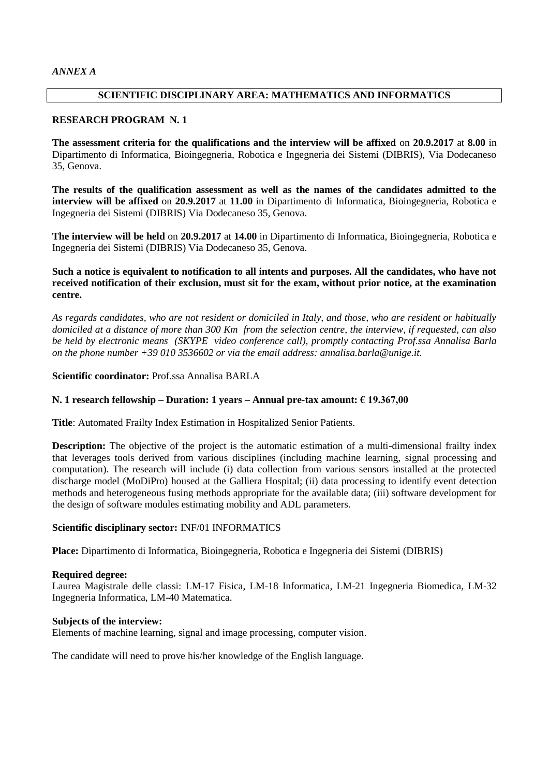# **SCIENTIFIC DISCIPLINARY AREA: MATHEMATICS AND INFORMATICS**

# **RESEARCH PROGRAM N. 1**

**The assessment criteria for the qualifications and the interview will be affixed** on **20.9.2017** at **8.00** in Dipartimento di Informatica, Bioingegneria, Robotica e Ingegneria dei Sistemi (DIBRIS), Via Dodecaneso 35, Genova.

**The results of the qualification assessment as well as the names of the candidates admitted to the interview will be affixed** on **20.9.2017** at **11.00** in Dipartimento di Informatica, Bioingegneria, Robotica e Ingegneria dei Sistemi (DIBRIS) Via Dodecaneso 35, Genova.

**The interview will be held** on **20.9.2017** at **14.00** in Dipartimento di Informatica, Bioingegneria, Robotica e Ingegneria dei Sistemi (DIBRIS) Via Dodecaneso 35, Genova.

# **Such a notice is equivalent to notification to all intents and purposes. All the candidates, who have not received notification of their exclusion, must sit for the exam, without prior notice, at the examination centre.**

*As regards candidates, who are not resident or domiciled in Italy, and those, who are resident or habitually domiciled at a distance of more than 300 Km from the selection centre, the interview, if requested, can also be held by electronic means (SKYPE video conference call), promptly contacting Prof.ssa Annalisa Barla on the phone number +39 010 3536602 or via the email address: annalisa.barla@unige.it.*

# **Scientific coordinator:** Prof.ssa Annalisa BARLA

# **N. 1 research fellowship – Duration: 1 years – Annual pre-tax amount: € 19.367,00**

**Title**: Automated Frailty Index Estimation in Hospitalized Senior Patients.

**Description:** The objective of the project is the automatic estimation of a multi-dimensional frailty index that leverages tools derived from various disciplines (including machine learning, signal processing and computation). The research will include (i) data collection from various sensors installed at the protected discharge model (MoDiPro) housed at the Galliera Hospital; (ii) data processing to identify event detection methods and heterogeneous fusing methods appropriate for the available data; (iii) software development for the design of software modules estimating mobility and ADL parameters.

# **Scientific disciplinary sector:** INF/01 INFORMATICS

**Place:** Dipartimento di Informatica, Bioingegneria, Robotica e Ingegneria dei Sistemi (DIBRIS)

# **Required degree:**

Laurea Magistrale delle classi: LM-17 Fisica, LM-18 Informatica, LM-21 Ingegneria Biomedica, LM-32 Ingegneria Informatica, LM-40 Matematica.

# **Subjects of the interview:**

Elements of machine learning, signal and image processing, computer vision.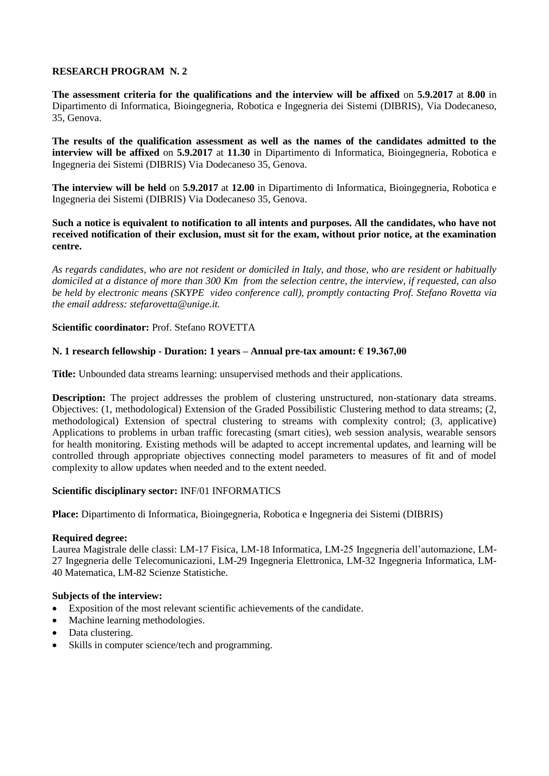**The assessment criteria for the qualifications and the interview will be affixed** on **5.9.2017** at **8.00** in Dipartimento di Informatica, Bioingegneria, Robotica e Ingegneria dei Sistemi (DIBRIS), Via Dodecaneso, 35, Genova.

**The results of the qualification assessment as well as the names of the candidates admitted to the interview will be affixed** on **5.9.2017** at **11.30** in Dipartimento di Informatica, Bioingegneria, Robotica e Ingegneria dei Sistemi (DIBRIS) Via Dodecaneso 35, Genova.

**The interview will be held** on **5.9.2017** at **12.00** in Dipartimento di Informatica, Bioingegneria, Robotica e Ingegneria dei Sistemi (DIBRIS) Via Dodecaneso 35, Genova.

**Such a notice is equivalent to notification to all intents and purposes. All the candidates, who have not received notification of their exclusion, must sit for the exam, without prior notice, at the examination centre.**

*As regards candidates, who are not resident or domiciled in Italy, and those, who are resident or habitually domiciled at a distance of more than 300 Km from the selection centre, the interview, if requested, can also be held by electronic means (SKYPE video conference call), promptly contacting Prof. Stefano Rovetta via the email address: stefarovetta@unige.it.*

# **Scientific coordinator:** Prof. Stefano ROVETTA

# **N. 1 research fellowship - Duration: 1 years – Annual pre-tax amount: € 19.367,00**

**Title:** Unbounded data streams learning: unsupervised methods and their applications.

**Description:** The project addresses the problem of clustering unstructured, non-stationary data streams. Objectives: (1, methodological) Extension of the Graded Possibilistic Clustering method to data streams; (2, methodological) Extension of spectral clustering to streams with complexity control; (3, applicative) Applications to problems in urban traffic forecasting (smart cities), web session analysis, wearable sensors for health monitoring. Existing methods will be adapted to accept incremental updates, and learning will be controlled through appropriate objectives connecting model parameters to measures of fit and of model complexity to allow updates when needed and to the extent needed.

# **Scientific disciplinary sector:** INF/01 INFORMATICS

**Place:** Dipartimento di Informatica, Bioingegneria, Robotica e Ingegneria dei Sistemi (DIBRIS)

### **Required degree:**

Laurea Magistrale delle classi: LM-17 Fisica, LM-18 Informatica, LM-25 Ingegneria dell'automazione, LM-27 Ingegneria delle Telecomunicazioni, LM-29 Ingegneria Elettronica, LM-32 Ingegneria Informatica, LM-40 Matematica, LM-82 Scienze Statistiche.

- Exposition of the most relevant scientific achievements of the candidate.
- Machine learning methodologies.
- Data clustering.
- Skills in computer science/tech and programming.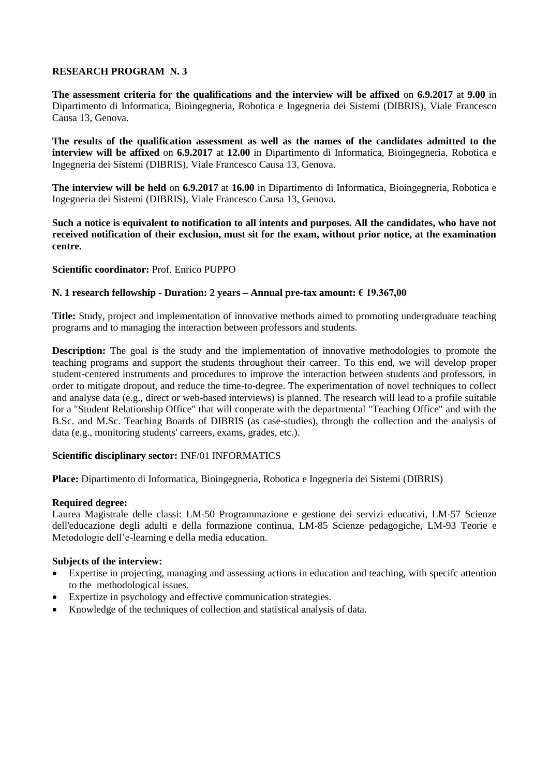**The assessment criteria for the qualifications and the interview will be affixed** on **6.9.2017** at **9.00** in Dipartimento di Informatica, Bioingegneria, Robotica e Ingegneria dei Sistemi (DIBRIS), Viale Francesco Causa 13, Genova.

**The results of the qualification assessment as well as the names of the candidates admitted to the interview will be affixed** on **6.9.2017** at **12.00** in Dipartimento di Informatica, Bioingegneria, Robotica e Ingegneria dei Sistemi (DIBRIS), Viale Francesco Causa 13, Genova.

**The interview will be held** on **6.9.2017** at **16.00** in Dipartimento di Informatica, Bioingegneria, Robotica e Ingegneria dei Sistemi (DIBRIS), Viale Francesco Causa 13, Genova.

**Such a notice is equivalent to notification to all intents and purposes. All the candidates, who have not received notification of their exclusion, must sit for the exam, without prior notice, at the examination centre.**

# **Scientific coordinator:** Prof. Enrico PUPPO

# **N. 1 research fellowship - Duration: 2 years – Annual pre-tax amount: € 19.367,00**

**Title:** Study, project and implementation of innovative methods aimed to promoting undergraduate teaching programs and to managing the interaction between professors and students.

**Description:** The goal is the study and the implementation of innovative methodologies to promote the teaching programs and support the students throughout their carreer. To this end, we will develop proper student-centered instruments and procedures to improve the interaction between students and professors, in order to mitigate dropout, and reduce the time-to-degree. The experimentation of novel techniques to collect and analyse data (e.g., direct or web-based interviews) is planned. The research will lead to a profile suitable for a "Student Relationship Office" that will cooperate with the departmental "Teaching Office" and with the B.Sc. and M.Sc. Teaching Boards of DIBRIS (as case-studies), through the collection and the analysis of data (e.g., monitoring students' carreers, exams, grades, etc.).

# **Scientific disciplinary sector:** INF/01 INFORMATICS

**Place:** Dipartimento di Informatica, Bioingegneria, Robotica e Ingegneria dei Sistemi (DIBRIS)

# **Required degree:**

Laurea Magistrale delle classi: LM-50 Programmazione e gestione dei servizi educativi, LM-57 Scienze dell'educazione degli adulti e della formazione continua, LM-85 Scienze pedagogiche, LM-93 Teorie e Metodologie dell'e-learning e della media education.

- Expertise in projecting, managing and assessing actions in education and teaching, with specifc attention to the methodological issues.
- Expertize in psychology and effective communication strategies.
- Knowledge of the techniques of collection and statistical analysis of data.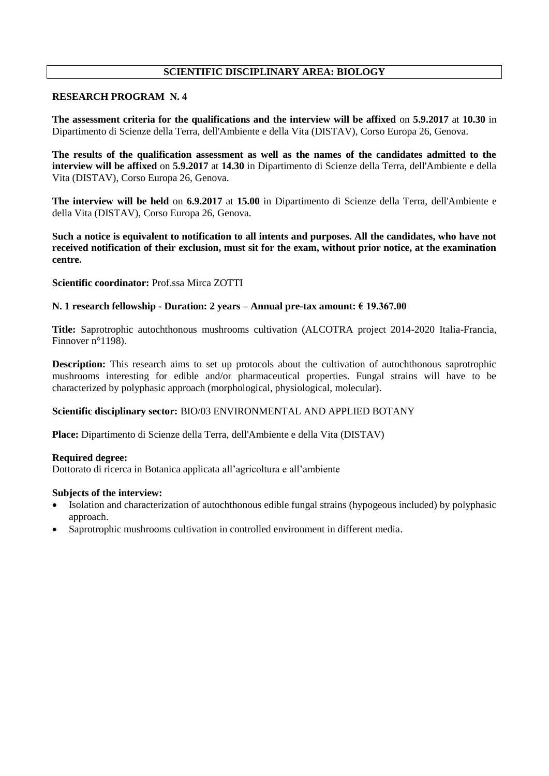# **SCIENTIFIC DISCIPLINARY AREA: BIOLOGY**

# **RESEARCH PROGRAM N. 4**

**The assessment criteria for the qualifications and the interview will be affixed** on **5.9.2017** at **10.30** in Dipartimento di Scienze della Terra, dell'Ambiente e della Vita (DISTAV), Corso Europa 26, Genova.

**The results of the qualification assessment as well as the names of the candidates admitted to the interview will be affixed** on **5.9.2017** at **14.30** in Dipartimento di Scienze della Terra, dell'Ambiente e della Vita (DISTAV), Corso Europa 26, Genova.

**The interview will be held** on **6.9.2017** at **15.00** in Dipartimento di Scienze della Terra, dell'Ambiente e della Vita (DISTAV), Corso Europa 26, Genova.

**Such a notice is equivalent to notification to all intents and purposes. All the candidates, who have not received notification of their exclusion, must sit for the exam, without prior notice, at the examination centre.**

**Scientific coordinator:** Prof.ssa Mirca ZOTTI

# **N. 1 research fellowship - Duration: 2 years – Annual pre-tax amount: € 19.367.00**

**Title:** Saprotrophic autochthonous mushrooms cultivation (ALCOTRA project 2014-2020 Italia-Francia, Finnover n°1198).

**Description:** This research aims to set up protocols about the cultivation of autochthonous saprotrophic mushrooms interesting for edible and/or pharmaceutical properties. Fungal strains will have to be characterized by polyphasic approach (morphological, physiological, molecular).

# **Scientific disciplinary sector:** BIO/03 ENVIRONMENTAL AND APPLIED BOTANY

**Place:** Dipartimento di Scienze della Terra, dell'Ambiente e della Vita (DISTAV)

# **Required degree:**

Dottorato di ricerca in Botanica applicata all'agricoltura e all'ambiente

- Isolation and characterization of autochthonous edible fungal strains (hypogeous included) by polyphasic approach.
- Saprotrophic mushrooms cultivation in controlled environment in different media.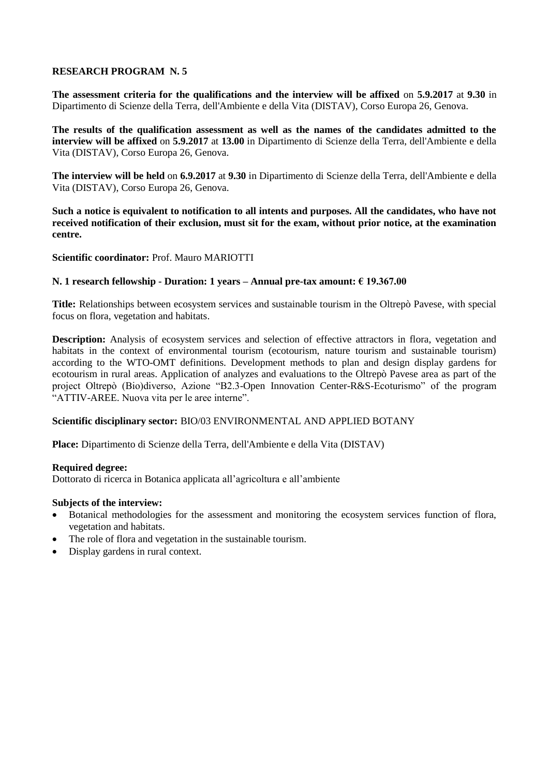**The assessment criteria for the qualifications and the interview will be affixed** on **5.9.2017** at **9.30** in Dipartimento di Scienze della Terra, dell'Ambiente e della Vita (DISTAV), Corso Europa 26, Genova.

**The results of the qualification assessment as well as the names of the candidates admitted to the interview will be affixed** on **5.9.2017** at **13.00** in Dipartimento di Scienze della Terra, dell'Ambiente e della Vita (DISTAV), Corso Europa 26, Genova.

**The interview will be held** on **6.9.2017** at **9.30** in Dipartimento di Scienze della Terra, dell'Ambiente e della Vita (DISTAV), Corso Europa 26, Genova.

**Such a notice is equivalent to notification to all intents and purposes. All the candidates, who have not received notification of their exclusion, must sit for the exam, without prior notice, at the examination centre.**

# **Scientific coordinator:** Prof. Mauro MARIOTTI

# **N. 1 research fellowship - Duration: 1 years – Annual pre-tax amount: € 19.367.00**

**Title:** Relationships between ecosystem services and sustainable tourism in the Oltrepò Pavese, with special focus on flora, vegetation and habitats.

**Description:** Analysis of ecosystem services and selection of effective attractors in flora, vegetation and habitats in the context of environmental tourism (ecotourism, nature tourism and sustainable tourism) according to the WTO-OMT definitions. Development methods to plan and design display gardens for ecotourism in rural areas. Application of analyzes and evaluations to the Oltrepò Pavese area as part of the project Oltrepò (Bio)diverso, Azione "B2.3-Open Innovation Center-R&S-Ecoturismo" of the program "ATTIV-AREE. Nuova vita per le aree interne".

# **Scientific disciplinary sector:** BIO/03 ENVIRONMENTAL AND APPLIED BOTANY

**Place:** Dipartimento di Scienze della Terra, dell'Ambiente e della Vita (DISTAV)

### **Required degree:**

Dottorato di ricerca in Botanica applicata all'agricoltura e all'ambiente

- Botanical methodologies for the assessment and monitoring the ecosystem services function of flora, vegetation and habitats.
- The role of flora and vegetation in the sustainable tourism.
- Display gardens in rural context.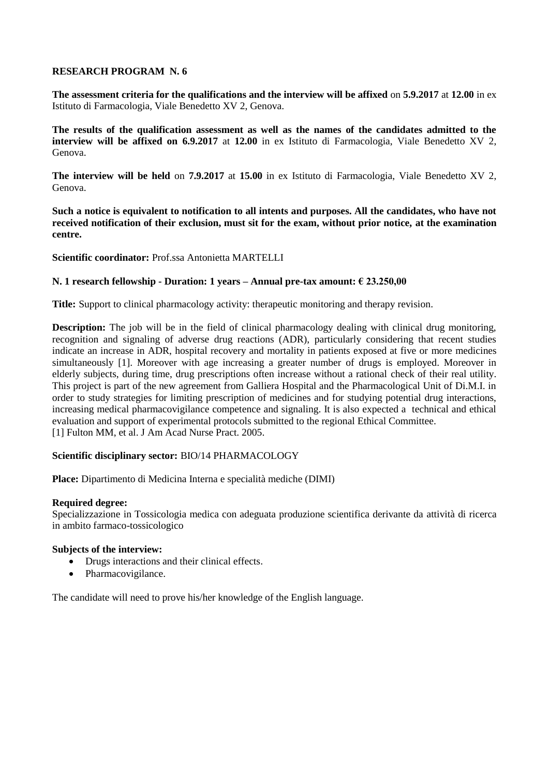**The assessment criteria for the qualifications and the interview will be affixed** on **5.9.2017** at **12.00** in ex Istituto di Farmacologia, Viale Benedetto XV 2, Genova.

**The results of the qualification assessment as well as the names of the candidates admitted to the interview will be affixed on 6.9.2017** at **12.00** in ex Istituto di Farmacologia, Viale Benedetto XV 2, Genova.

**The interview will be held** on **7.9.2017** at **15.00** in ex Istituto di Farmacologia, Viale Benedetto XV 2, Genova.

**Such a notice is equivalent to notification to all intents and purposes. All the candidates, who have not received notification of their exclusion, must sit for the exam, without prior notice, at the examination centre.**

**Scientific coordinator:** Prof.ssa Antonietta MARTELLI

# **N. 1 research fellowship - Duration: 1 years – Annual pre-tax amount: € 23.250,00**

**Title:** Support to clinical pharmacology activity: therapeutic monitoring and therapy revision.

**Description:** The job will be in the field of clinical pharmacology dealing with clinical drug monitoring, recognition and signaling of adverse drug reactions (ADR), particularly considering that recent studies indicate an increase in ADR, hospital recovery and mortality in patients exposed at five or more medicines simultaneously [1]. Moreover with age increasing a greater number of drugs is employed. Moreover in elderly subjects, during time, drug prescriptions often increase without a rational check of their real utility. This project is part of the new agreement from Galliera Hospital and the Pharmacological Unit of Di.M.I. in order to study strategies for limiting prescription of medicines and for studying potential drug interactions, increasing medical pharmacovigilance competence and signaling. It is also expected a technical and ethical evaluation and support of experimental protocols submitted to the regional Ethical Committee. [1] Fulton MM, et al. J Am Acad Nurse Pract. 2005.

# **Scientific disciplinary sector:** BIO/14 PHARMACOLOGY

**Place:** Dipartimento di Medicina Interna e specialità mediche (DIMI)

# **Required degree:**

Specializzazione in Tossicologia medica con adeguata produzione scientifica derivante da attività di ricerca in ambito farmaco-tossicologico

# **Subjects of the interview:**

- Drugs interactions and their clinical effects.
- Pharmacovigilance.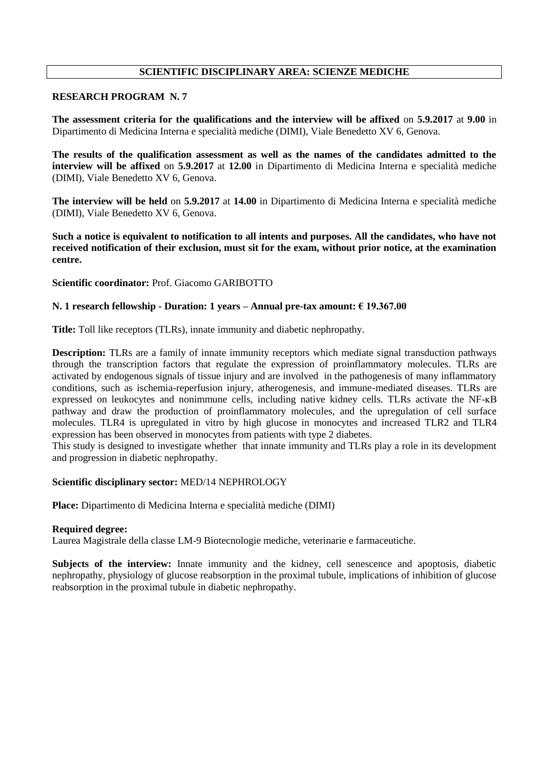# **SCIENTIFIC DISCIPLINARY AREA: SCIENZE MEDICHE**

## **RESEARCH PROGRAM N. 7**

**The assessment criteria for the qualifications and the interview will be affixed** on **5.9.2017** at **9.00** in Dipartimento di Medicina Interna e specialità mediche (DIMI), Viale Benedetto XV 6, Genova.

**The results of the qualification assessment as well as the names of the candidates admitted to the interview will be affixed** on **5.9.2017** at **12.00** in Dipartimento di Medicina Interna e specialità mediche (DIMI), Viale Benedetto XV 6, Genova.

**The interview will be held** on **5.9.2017** at **14.00** in Dipartimento di Medicina Interna e specialità mediche (DIMI), Viale Benedetto XV 6, Genova.

**Such a notice is equivalent to notification to all intents and purposes. All the candidates, who have not received notification of their exclusion, must sit for the exam, without prior notice, at the examination centre.**

**Scientific coordinator:** Prof. Giacomo GARIBOTTO

# **N. 1 research fellowship - Duration: 1 years – Annual pre-tax amount: € 19.367.00**

**Title:** Toll like receptors (TLRs), innate immunity and diabetic nephropathy.

**Description:** TLRs are a family of innate immunity receptors which mediate signal transduction pathways through the transcription factors that regulate the expression of proinflammatory molecules. TLRs are activated by endogenous signals of tissue injury and are involved in the pathogenesis of many inflammatory conditions, such as ischemia-reperfusion injury, atherogenesis, and immune-mediated diseases. TLRs are expressed on leukocytes and nonimmune cells, including native kidney cells. TLRs activate the NF-ĸB pathway and draw the production of proinflammatory molecules, and the upregulation of cell surface molecules. TLR4 is upregulated in vitro by high glucose in monocytes and increased TLR2 and TLR4 expression has been observed in monocytes from patients with type 2 diabetes.

This study is designed to investigate whether that innate immunity and TLRs play a role in its development and progression in diabetic nephropathy.

### **Scientific disciplinary sector:** MED/14 NEPHROLOGY

**Place:** Dipartimento di Medicina Interna e specialità mediche (DIMI)

### **Required degree:**

Laurea Magistrale della classe LM-9 Biotecnologie mediche, veterinarie e farmaceutiche.

**Subjects of the interview:** Innate immunity and the kidney, cell senescence and apoptosis, diabetic nephropathy, physiology of glucose reabsorption in the proximal tubule, implications of inhibition of glucose reabsorption in the proximal tubule in diabetic nephropathy.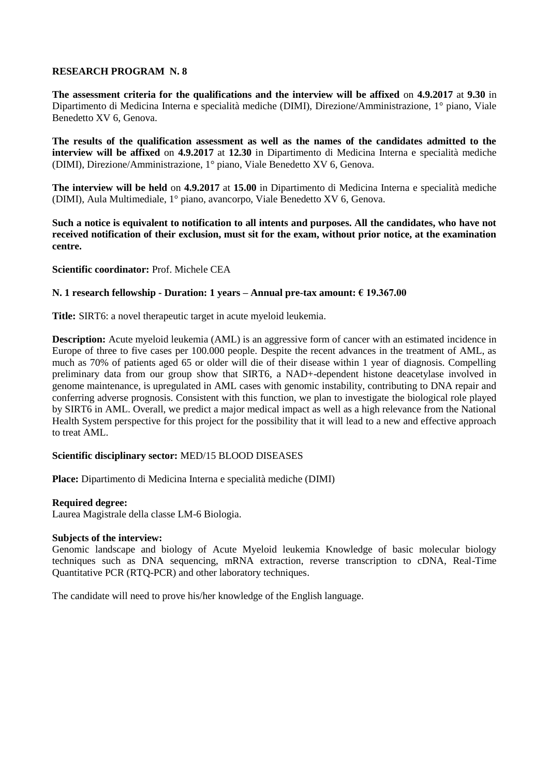**The assessment criteria for the qualifications and the interview will be affixed** on **4.9.2017** at **9.30** in Dipartimento di Medicina Interna e specialità mediche (DIMI), Direzione/Amministrazione, 1° piano, Viale Benedetto XV 6, Genova.

**The results of the qualification assessment as well as the names of the candidates admitted to the interview will be affixed** on **4.9.2017** at **12.30** in Dipartimento di Medicina Interna e specialità mediche (DIMI), Direzione/Amministrazione, 1° piano, Viale Benedetto XV 6, Genova.

**The interview will be held** on **4.9.2017** at **15.00** in Dipartimento di Medicina Interna e specialità mediche (DIMI), Aula Multimediale, 1° piano, avancorpo, Viale Benedetto XV 6, Genova.

**Such a notice is equivalent to notification to all intents and purposes. All the candidates, who have not received notification of their exclusion, must sit for the exam, without prior notice, at the examination centre.**

**Scientific coordinator:** Prof. Michele CEA

## **N. 1 research fellowship - Duration: 1 years – Annual pre-tax amount: € 19.367.00**

**Title:** SIRT6: a novel therapeutic target in acute myeloid leukemia.

**Description:** Acute myeloid leukemia (AML) is an aggressive form of cancer with an estimated incidence in Europe of three to five cases per 100.000 people. Despite the recent advances in the treatment of AML, as much as 70% of patients aged 65 or older will die of their disease within 1 year of diagnosis. Compelling preliminary data from our group show that SIRT6, a NAD+-dependent histone deacetylase involved in genome maintenance, is upregulated in AML cases with genomic instability, contributing to DNA repair and conferring adverse prognosis. Consistent with this function, we plan to investigate the biological role played by SIRT6 in AML. Overall, we predict a major medical impact as well as a high relevance from the National Health System perspective for this project for the possibility that it will lead to a new and effective approach to treat AML.

## **Scientific disciplinary sector:** MED/15 BLOOD DISEASES

**Place:** Dipartimento di Medicina Interna e specialità mediche (DIMI)

### **Required degree:**

Laurea Magistrale della classe LM-6 Biologia.

### **Subjects of the interview:**

Genomic landscape and biology of Acute Myeloid leukemia Knowledge of basic molecular biology techniques such as DNA sequencing, mRNA extraction, reverse transcription to cDNA, Real-Time Quantitative PCR (RTQ-PCR) and other laboratory techniques.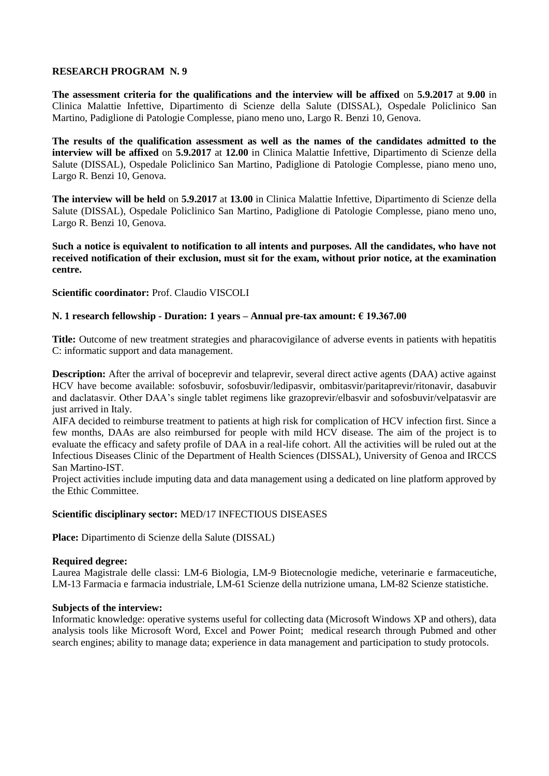**The assessment criteria for the qualifications and the interview will be affixed** on **5.9.2017** at **9.00** in Clinica Malattie Infettive, Dipartimento di Scienze della Salute (DISSAL), Ospedale Policlinico San Martino, Padiglione di Patologie Complesse, piano meno uno, Largo R. Benzi 10, Genova.

**The results of the qualification assessment as well as the names of the candidates admitted to the interview will be affixed** on **5.9.2017** at **12.00** in Clinica Malattie Infettive, Dipartimento di Scienze della Salute (DISSAL), Ospedale Policlinico San Martino, Padiglione di Patologie Complesse, piano meno uno, Largo R. Benzi 10, Genova.

**The interview will be held** on **5.9.2017** at **13.00** in Clinica Malattie Infettive, Dipartimento di Scienze della Salute (DISSAL), Ospedale Policlinico San Martino, Padiglione di Patologie Complesse, piano meno uno, Largo R. Benzi 10, Genova.

**Such a notice is equivalent to notification to all intents and purposes. All the candidates, who have not received notification of their exclusion, must sit for the exam, without prior notice, at the examination centre.**

# **Scientific coordinator:** Prof. Claudio VISCOLI

# **N. 1 research fellowship - Duration: 1 years – Annual pre-tax amount: € 19.367.00**

**Title:** Outcome of new treatment strategies and pharacovigilance of adverse events in patients with hepatitis C: informatic support and data management.

**Description:** After the arrival of boceprevir and telaprevir, several direct active agents (DAA) active against HCV have become available: sofosbuvir, sofosbuvir/ledipasvir, ombitasvir/paritaprevir/ritonavir, dasabuvir and daclatasvir. Other DAA's single tablet regimens like grazoprevir/elbasvir and sofosbuvir/velpatasvir are just arrived in Italy.

AIFA decided to reimburse treatment to patients at high risk for complication of HCV infection first. Since a few months, DAAs are also reimbursed for people with mild HCV disease. The aim of the project is to evaluate the efficacy and safety profile of DAA in a real-life cohort. All the activities will be ruled out at the Infectious Diseases Clinic of the Department of Health Sciences (DISSAL), University of Genoa and IRCCS San Martino-IST.

Project activities include imputing data and data management using a dedicated on line platform approved by the Ethic Committee.

# **Scientific disciplinary sector:** MED/17 INFECTIOUS DISEASES

**Place:** Dipartimento di Scienze della Salute (DISSAL)

# **Required degree:**

Laurea Magistrale delle classi: LM-6 Biologia, LM-9 Biotecnologie mediche, veterinarie e farmaceutiche, LM-13 Farmacia e farmacia industriale, LM-61 Scienze della nutrizione umana, LM-82 Scienze statistiche.

# **Subjects of the interview:**

Informatic knowledge: operative systems useful for collecting data (Microsoft Windows XP and others), data analysis tools like Microsoft Word, Excel and Power Point; medical research through Pubmed and other search engines; ability to manage data; experience in data management and participation to study protocols.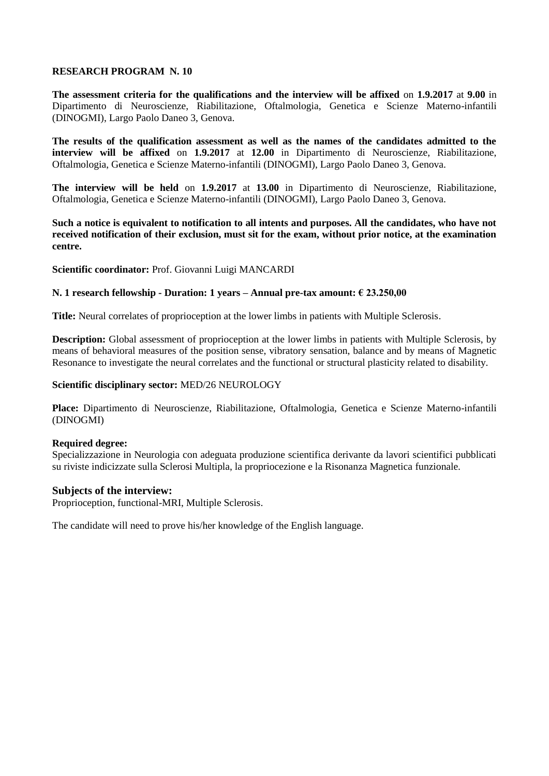**The assessment criteria for the qualifications and the interview will be affixed** on **1.9.2017** at **9.00** in Dipartimento di Neuroscienze, Riabilitazione, Oftalmologia, Genetica e Scienze Materno-infantili (DINOGMI), Largo Paolo Daneo 3, Genova.

**The results of the qualification assessment as well as the names of the candidates admitted to the interview will be affixed** on **1.9.2017** at **12.00** in Dipartimento di Neuroscienze, Riabilitazione, Oftalmologia, Genetica e Scienze Materno-infantili (DINOGMI), Largo Paolo Daneo 3, Genova.

**The interview will be held** on **1.9.2017** at **13.00** in Dipartimento di Neuroscienze, Riabilitazione, Oftalmologia, Genetica e Scienze Materno-infantili (DINOGMI), Largo Paolo Daneo 3, Genova.

**Such a notice is equivalent to notification to all intents and purposes. All the candidates, who have not received notification of their exclusion, must sit for the exam, without prior notice, at the examination centre.**

**Scientific coordinator:** Prof. Giovanni Luigi MANCARDI

# **N. 1 research fellowship - Duration: 1 years – Annual pre-tax amount: € 23.250,00**

**Title:** Neural correlates of proprioception at the lower limbs in patients with Multiple Sclerosis.

**Description:** Global assessment of proprioception at the lower limbs in patients with Multiple Sclerosis, by means of behavioral measures of the position sense, vibratory sensation, balance and by means of Magnetic Resonance to investigate the neural correlates and the functional or structural plasticity related to disability.

# **Scientific disciplinary sector:** MED/26 NEUROLOGY

**Place:** Dipartimento di Neuroscienze, Riabilitazione, Oftalmologia, Genetica e Scienze Materno-infantili (DINOGMI)

# **Required degree:**

Specializzazione in Neurologia con adeguata produzione scientifica derivante da lavori scientifici pubblicati su riviste indicizzate sulla Sclerosi Multipla, la propriocezione e la Risonanza Magnetica funzionale.

# **Subjects of the interview:**

Proprioception, functional-MRI, Multiple Sclerosis.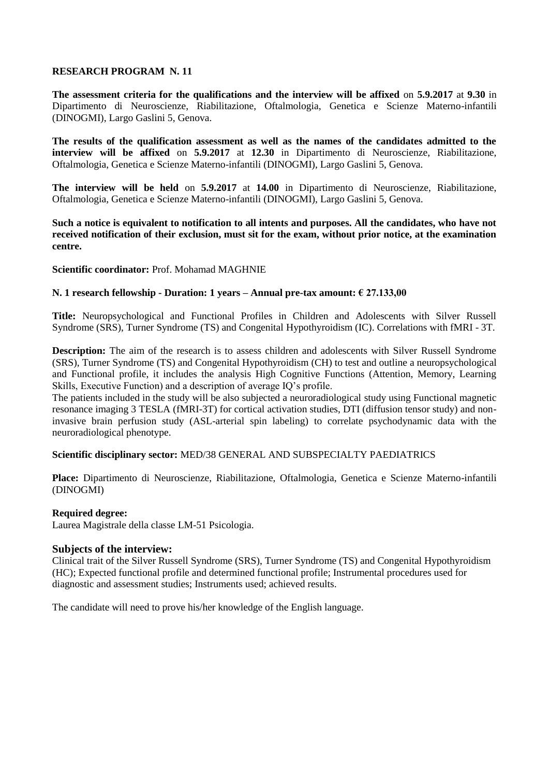**The assessment criteria for the qualifications and the interview will be affixed** on **5.9.2017** at **9.30** in Dipartimento di Neuroscienze, Riabilitazione, Oftalmologia, Genetica e Scienze Materno-infantili (DINOGMI), Largo Gaslini 5, Genova.

**The results of the qualification assessment as well as the names of the candidates admitted to the interview will be affixed** on **5.9.2017** at **12.30** in Dipartimento di Neuroscienze, Riabilitazione, Oftalmologia, Genetica e Scienze Materno-infantili (DINOGMI), Largo Gaslini 5, Genova.

**The interview will be held** on **5.9.2017** at **14.00** in Dipartimento di Neuroscienze, Riabilitazione, Oftalmologia, Genetica e Scienze Materno-infantili (DINOGMI), Largo Gaslini 5, Genova.

**Such a notice is equivalent to notification to all intents and purposes. All the candidates, who have not received notification of their exclusion, must sit for the exam, without prior notice, at the examination centre.**

# **Scientific coordinator:** Prof. Mohamad MAGHNIE

# **N. 1 research fellowship - Duration: 1 years – Annual pre-tax amount: € 27.133,00**

**Title:** Neuropsychological and Functional Profiles in Children and Adolescents with Silver Russell Syndrome (SRS), Turner Syndrome (TS) and Congenital Hypothyroidism (IC). Correlations with fMRI - 3T.

**Description:** The aim of the research is to assess children and adolescents with Silver Russell Syndrome (SRS), Turner Syndrome (TS) and Congenital Hypothyroidism (CH) to test and outline a neuropsychological and Functional profile, it includes the analysis High Cognitive Functions (Attention, Memory, Learning Skills, Executive Function) and a description of average IQ's profile.

The patients included in the study will be also subjected a neuroradiological study using Functional magnetic resonance imaging 3 TESLA (fMRI-3T) for cortical activation studies, DTI (diffusion tensor study) and noninvasive brain perfusion study (ASL-arterial spin labeling) to correlate psychodynamic data with the neuroradiological phenotype.

# **Scientific disciplinary sector:** MED/38 GENERAL AND SUBSPECIALTY PAEDIATRICS

**Place:** Dipartimento di Neuroscienze, Riabilitazione, Oftalmologia, Genetica e Scienze Materno-infantili (DINOGMI)

# **Required degree:**

Laurea Magistrale della classe LM-51 Psicologia.

# **Subjects of the interview:**

Clinical trait of the Silver Russell Syndrome (SRS), Turner Syndrome (TS) and Congenital Hypothyroidism (HC); Expected functional profile and determined functional profile; Instrumental procedures used for diagnostic and assessment studies; Instruments used; achieved results.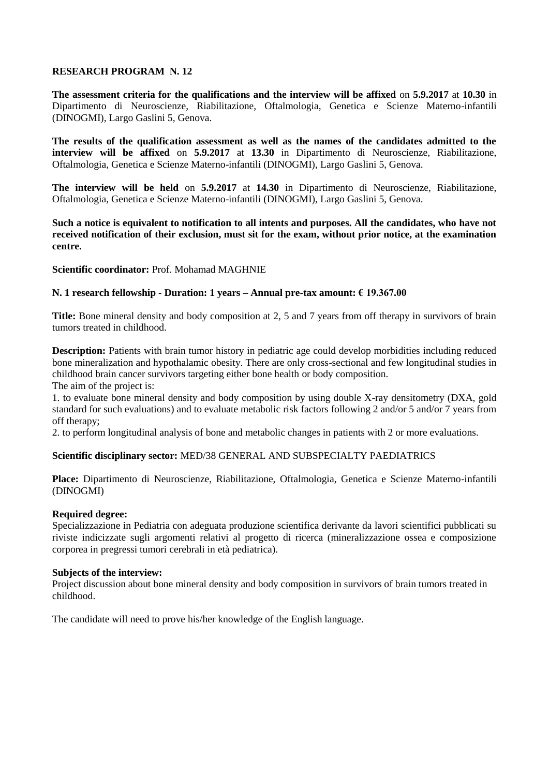**The assessment criteria for the qualifications and the interview will be affixed** on **5.9.2017** at **10.30** in Dipartimento di Neuroscienze, Riabilitazione, Oftalmologia, Genetica e Scienze Materno-infantili (DINOGMI), Largo Gaslini 5, Genova.

**The results of the qualification assessment as well as the names of the candidates admitted to the interview will be affixed** on **5.9.2017** at **13.30** in Dipartimento di Neuroscienze, Riabilitazione, Oftalmologia, Genetica e Scienze Materno-infantili (DINOGMI), Largo Gaslini 5, Genova.

**The interview will be held** on **5.9.2017** at **14.30** in Dipartimento di Neuroscienze, Riabilitazione, Oftalmologia, Genetica e Scienze Materno-infantili (DINOGMI), Largo Gaslini 5, Genova.

**Such a notice is equivalent to notification to all intents and purposes. All the candidates, who have not received notification of their exclusion, must sit for the exam, without prior notice, at the examination centre.**

# **Scientific coordinator:** Prof. Mohamad MAGHNIE

# **N. 1 research fellowship - Duration: 1 years – Annual pre-tax amount: € 19.367.00**

**Title:** Bone mineral density and body composition at 2, 5 and 7 years from off therapy in survivors of brain tumors treated in childhood.

**Description:** Patients with brain tumor history in pediatric age could develop morbidities including reduced bone mineralization and hypothalamic obesity. There are only cross-sectional and few longitudinal studies in childhood brain cancer survivors targeting either bone health or body composition. The aim of the project is:

1. to evaluate bone mineral density and body composition by using double X-ray densitometry (DXA, gold standard for such evaluations) and to evaluate metabolic risk factors following 2 and/or 5 and/or 7 years from off therapy;

2. to perform longitudinal analysis of bone and metabolic changes in patients with 2 or more evaluations.

# **Scientific disciplinary sector:** MED/38 GENERAL AND SUBSPECIALTY PAEDIATRICS

**Place:** Dipartimento di Neuroscienze, Riabilitazione, Oftalmologia, Genetica e Scienze Materno-infantili (DINOGMI)

# **Required degree:**

Specializzazione in Pediatria con adeguata produzione scientifica derivante da lavori scientifici pubblicati su riviste indicizzate sugli argomenti relativi al progetto di ricerca (mineralizzazione ossea e composizione corporea in pregressi tumori cerebrali in età pediatrica).

### **Subjects of the interview:**

Project discussion about bone mineral density and body composition in survivors of brain tumors treated in childhood.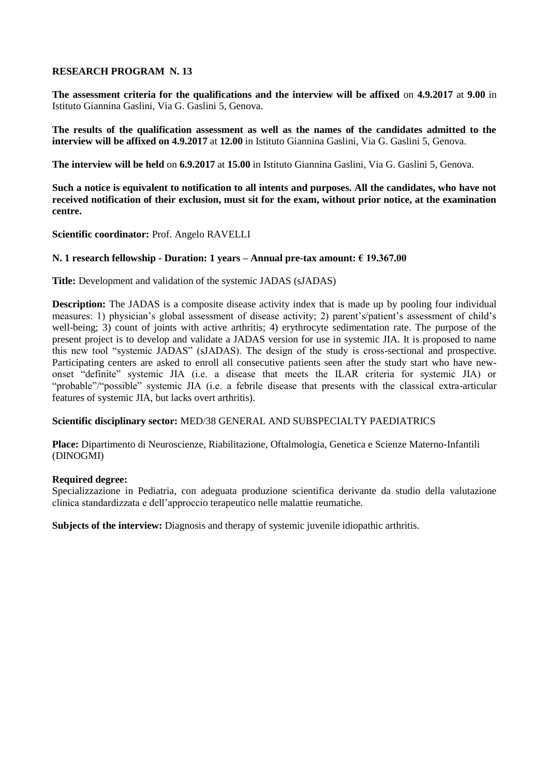**The assessment criteria for the qualifications and the interview will be affixed** on **4.9.2017** at **9.00** in Istituto Giannina Gaslini, Via G. Gaslini 5, Genova.

**The results of the qualification assessment as well as the names of the candidates admitted to the interview will be affixed on 4.9.2017** at **12.00** in Istituto Giannina Gaslini, Via G. Gaslini 5, Genova.

**The interview will be held** on **6.9.2017** at **15.00** in Istituto Giannina Gaslini, Via G. Gaslini 5, Genova.

**Such a notice is equivalent to notification to all intents and purposes. All the candidates, who have not received notification of their exclusion, must sit for the exam, without prior notice, at the examination centre.**

**Scientific coordinator:** Prof. Angelo RAVELLI

# **N. 1 research fellowship - Duration: 1 years – Annual pre-tax amount: € 19.367.00**

**Title:** Development and validation of the systemic JADAS (sJADAS)

**Description:** The JADAS is a composite disease activity index that is made up by pooling four individual measures: 1) physician's global assessment of disease activity; 2) parent's/patient's assessment of child's well-being; 3) count of joints with active arthritis; 4) erythrocyte sedimentation rate. The purpose of the present project is to develop and validate a JADAS version for use in systemic JIA. It is proposed to name this new tool "systemic JADAS" (sJADAS). The design of the study is cross-sectional and prospective. Participating centers are asked to enroll all consecutive patients seen after the study start who have newonset "definite" systemic JIA (i.e. a disease that meets the ILAR criteria for systemic JIA) or "probable"/"possible" systemic JIA (i.e. a febrile disease that presents with the classical extra-articular features of systemic JIA, but lacks overt arthritis).

# **Scientific disciplinary sector:** MED/38 GENERAL AND SUBSPECIALTY PAEDIATRICS

**Place:** Dipartimento di Neuroscienze, Riabilitazione, Oftalmologia, Genetica e Scienze Materno-Infantili (DINOGMI)

# **Required degree:**

Specializzazione in Pediatria, con adeguata produzione scientifica derivante da studio della valutazione clinica standardizzata e dell'approccio terapeutico nelle malattie reumatiche.

**Subjects of the interview:** Diagnosis and therapy of systemic juvenile idiopathic arthritis.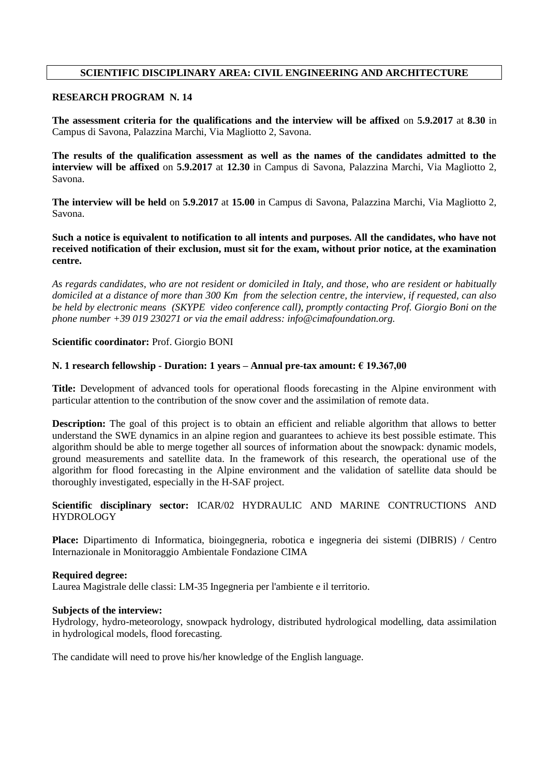# **SCIENTIFIC DISCIPLINARY AREA: CIVIL ENGINEERING AND ARCHITECTURE**

## **RESEARCH PROGRAM N. 14**

**The assessment criteria for the qualifications and the interview will be affixed** on **5.9.2017** at **8.30** in Campus di Savona, Palazzina Marchi, Via Magliotto 2, Savona.

**The results of the qualification assessment as well as the names of the candidates admitted to the interview will be affixed** on **5.9.2017** at **12.30** in Campus di Savona, Palazzina Marchi, Via Magliotto 2, Savona.

**The interview will be held** on **5.9.2017** at **15.00** in Campus di Savona, Palazzina Marchi, Via Magliotto 2, Savona.

**Such a notice is equivalent to notification to all intents and purposes. All the candidates, who have not received notification of their exclusion, must sit for the exam, without prior notice, at the examination centre.**

*As regards candidates, who are not resident or domiciled in Italy, and those, who are resident or habitually domiciled at a distance of more than 300 Km from the selection centre, the interview, if requested, can also be held by electronic means (SKYPE video conference call), promptly contacting Prof. Giorgio Boni on the phone number +39 019 230271 or via the email address: info@cimafoundation.org.*

# **Scientific coordinator:** Prof. Giorgio BONI

## **N. 1 research fellowship - Duration: 1 years – Annual pre-tax amount: € 19.367,00**

**Title:** Development of advanced tools for operational floods forecasting in the Alpine environment with particular attention to the contribution of the snow cover and the assimilation of remote data.

**Description:** The goal of this project is to obtain an efficient and reliable algorithm that allows to better understand the SWE dynamics in an alpine region and guarantees to achieve its best possible estimate. This algorithm should be able to merge together all sources of information about the snowpack: dynamic models, ground measurements and satellite data. In the framework of this research, the operational use of the algorithm for flood forecasting in the Alpine environment and the validation of satellite data should be thoroughly investigated, especially in the H-SAF project.

**Scientific disciplinary sector:** ICAR/02 HYDRAULIC AND MARINE CONTRUCTIONS AND **HYDROLOGY** 

**Place:** Dipartimento di Informatica, bioingegneria, robotica e ingegneria dei sistemi (DIBRIS) / Centro Internazionale in Monitoraggio Ambientale Fondazione CIMA

### **Required degree:**

Laurea Magistrale delle classi: LM-35 Ingegneria per l'ambiente e il territorio.

### **Subjects of the interview:**

Hydrology, hydro-meteorology, snowpack hydrology, distributed hydrological modelling, data assimilation in hydrological models, flood forecasting.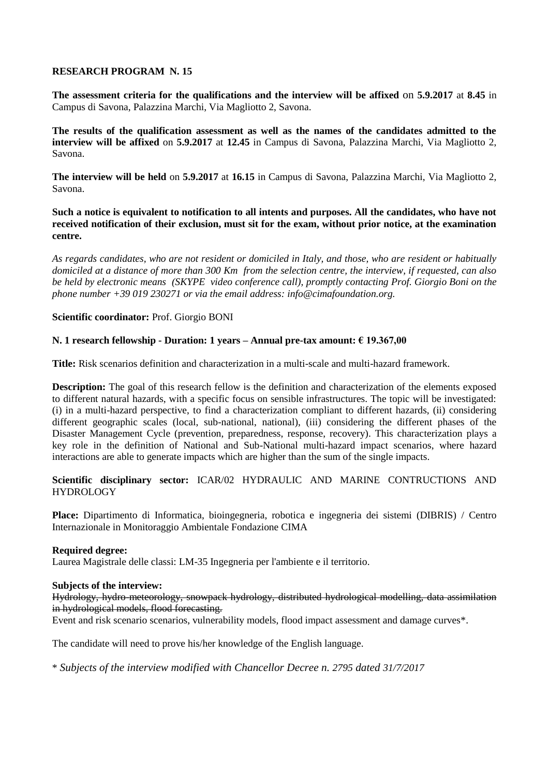**The assessment criteria for the qualifications and the interview will be affixed** on **5.9.2017** at **8.45** in Campus di Savona, Palazzina Marchi, Via Magliotto 2, Savona.

**The results of the qualification assessment as well as the names of the candidates admitted to the interview will be affixed** on **5.9.2017** at **12.45** in Campus di Savona, Palazzina Marchi, Via Magliotto 2, Savona.

**The interview will be held** on **5.9.2017** at **16.15** in Campus di Savona, Palazzina Marchi, Via Magliotto 2, Savona.

**Such a notice is equivalent to notification to all intents and purposes. All the candidates, who have not received notification of their exclusion, must sit for the exam, without prior notice, at the examination centre.**

*As regards candidates, who are not resident or domiciled in Italy, and those, who are resident or habitually domiciled at a distance of more than 300 Km from the selection centre, the interview, if requested, can also be held by electronic means (SKYPE video conference call), promptly contacting Prof. Giorgio Boni on the phone number +39 019 230271 or via the email address: info@cimafoundation.org.*

# **Scientific coordinator:** Prof. Giorgio BONI

# **N. 1 research fellowship - Duration: 1 years – Annual pre-tax amount: € 19.367,00**

**Title:** Risk scenarios definition and characterization in a multi-scale and multi-hazard framework.

**Description:** The goal of this research fellow is the definition and characterization of the elements exposed to different natural hazards, with a specific focus on sensible infrastructures. The topic will be investigated: (i) in a multi-hazard perspective, to find a characterization compliant to different hazards, (ii) considering different geographic scales (local, sub-national, national), (iii) considering the different phases of the Disaster Management Cycle (prevention, preparedness, response, recovery). This characterization plays a key role in the definition of National and Sub-National multi-hazard impact scenarios, where hazard interactions are able to generate impacts which are higher than the sum of the single impacts.

# **Scientific disciplinary sector:** ICAR/02 HYDRAULIC AND MARINE CONTRUCTIONS AND HYDROLOGY

**Place:** Dipartimento di Informatica, bioingegneria, robotica e ingegneria dei sistemi (DIBRIS) / Centro Internazionale in Monitoraggio Ambientale Fondazione CIMA

# **Required degree:**

Laurea Magistrale delle classi: LM-35 Ingegneria per l'ambiente e il territorio.

# **Subjects of the interview:**

Hydrology, hydro-meteorology, snowpack hydrology, distributed hydrological modelling, data assimilation in hydrological models, flood forecasting.

Event and risk scenario scenarios, vulnerability models, flood impact assessment and damage curves\*.

The candidate will need to prove his/her knowledge of the English language.

\* *Subjects of the interview modified with Chancellor Decree n. 2795 dated 31/7/2017*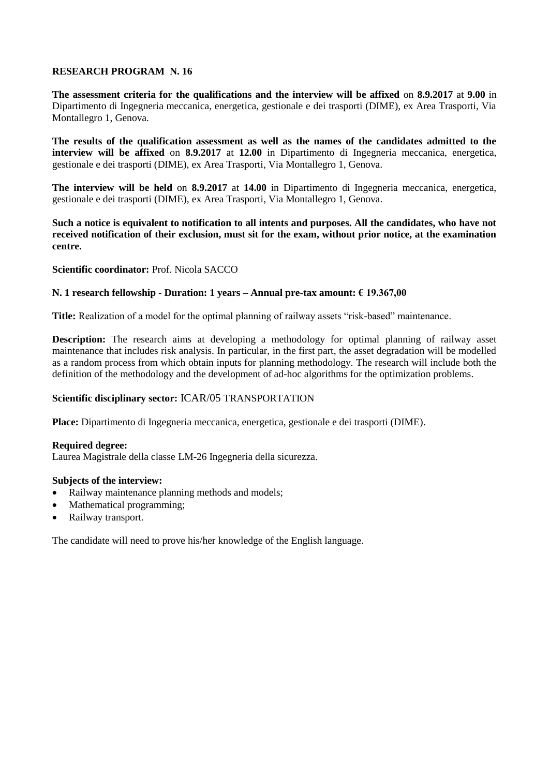**The assessment criteria for the qualifications and the interview will be affixed** on **8.9.2017** at **9.00** in Dipartimento di Ingegneria meccanica, energetica, gestionale e dei trasporti (DIME), ex Area Trasporti, Via Montallegro 1, Genova.

**The results of the qualification assessment as well as the names of the candidates admitted to the interview will be affixed** on **8.9.2017** at **12.00** in Dipartimento di Ingegneria meccanica, energetica, gestionale e dei trasporti (DIME), ex Area Trasporti, Via Montallegro 1, Genova.

**The interview will be held** on **8.9.2017** at **14.00** in Dipartimento di Ingegneria meccanica, energetica, gestionale e dei trasporti (DIME), ex Area Trasporti, Via Montallegro 1, Genova.

**Such a notice is equivalent to notification to all intents and purposes. All the candidates, who have not received notification of their exclusion, must sit for the exam, without prior notice, at the examination centre.**

**Scientific coordinator:** Prof. Nicola SACCO

# **N. 1 research fellowship - Duration: 1 years – Annual pre-tax amount: € 19.367,00**

**Title:** Realization of a model for the optimal planning of railway assets "risk-based" maintenance.

**Description:** The research aims at developing a methodology for optimal planning of railway asset maintenance that includes risk analysis. In particular, in the first part, the asset degradation will be modelled as a random process from which obtain inputs for planning methodology. The research will include both the definition of the methodology and the development of ad-hoc algorithms for the optimization problems.

# **Scientific disciplinary sector:** ICAR/05 TRANSPORTATION

**Place:** Dipartimento di Ingegneria meccanica, energetica, gestionale e dei trasporti (DIME).

# **Required degree:**

Laurea Magistrale della classe LM-26 Ingegneria della sicurezza.

### **Subjects of the interview:**

- Railway maintenance planning methods and models;
- Mathematical programming;
- Railway transport.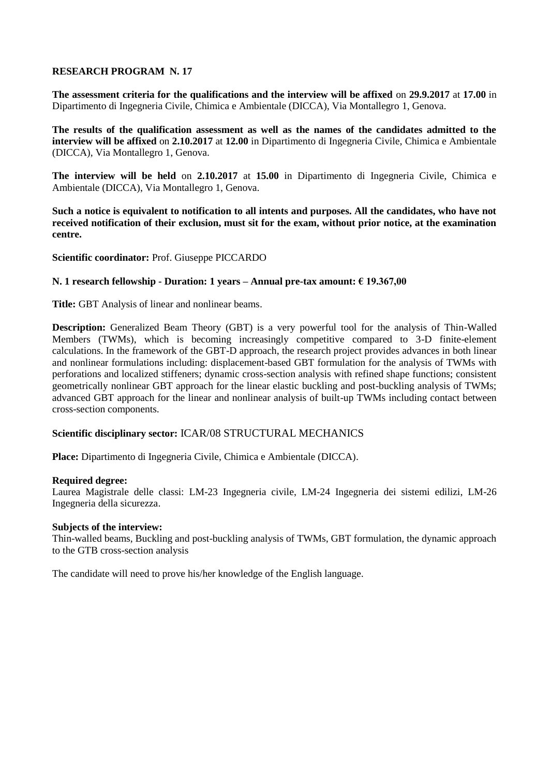**The assessment criteria for the qualifications and the interview will be affixed** on **29.9.2017** at **17.00** in Dipartimento di Ingegneria Civile, Chimica e Ambientale (DICCA), Via Montallegro 1, Genova.

**The results of the qualification assessment as well as the names of the candidates admitted to the interview will be affixed** on **2.10.2017** at **12.00** in Dipartimento di Ingegneria Civile, Chimica e Ambientale (DICCA), Via Montallegro 1, Genova.

**The interview will be held** on **2.10.2017** at **15.00** in Dipartimento di Ingegneria Civile, Chimica e Ambientale (DICCA), Via Montallegro 1, Genova.

**Such a notice is equivalent to notification to all intents and purposes. All the candidates, who have not received notification of their exclusion, must sit for the exam, without prior notice, at the examination centre.**

**Scientific coordinator:** Prof. Giuseppe PICCARDO

# **N. 1 research fellowship - Duration: 1 years – Annual pre-tax amount: € 19.367,00**

**Title:** GBT Analysis of linear and nonlinear beams.

**Description:** Generalized Beam Theory (GBT) is a very powerful tool for the analysis of Thin-Walled Members (TWMs), which is becoming increasingly competitive compared to 3-D finite-element calculations. In the framework of the GBT-D approach, the research project provides advances in both linear and nonlinear formulations including: displacement-based GBT formulation for the analysis of TWMs with perforations and localized stiffeners; dynamic cross-section analysis with refined shape functions; consistent geometrically nonlinear GBT approach for the linear elastic buckling and post-buckling analysis of TWMs; advanced GBT approach for the linear and nonlinear analysis of built-up TWMs including contact between cross-section components.

# **Scientific disciplinary sector:** ICAR/08 STRUCTURAL MECHANICS

**Place:** Dipartimento di Ingegneria Civile, Chimica e Ambientale (DICCA).

### **Required degree:**

Laurea Magistrale delle classi: LM-23 Ingegneria civile, LM-24 Ingegneria dei sistemi edilizi, LM-26 Ingegneria della sicurezza.

### **Subjects of the interview:**

Thin-walled beams, Buckling and post-buckling analysis of TWMs, GBT formulation, the dynamic approach to the GTB cross-section analysis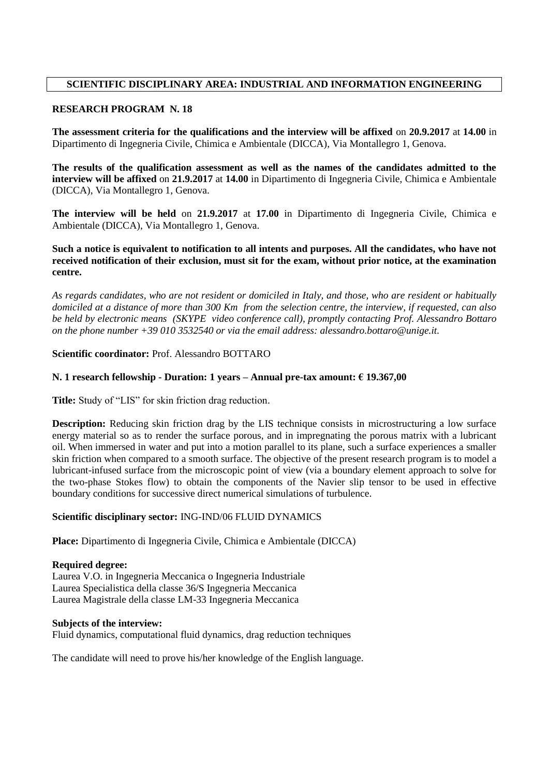# **SCIENTIFIC DISCIPLINARY AREA: INDUSTRIAL AND INFORMATION ENGINEERING**

## **RESEARCH PROGRAM N. 18**

**The assessment criteria for the qualifications and the interview will be affixed** on **20.9.2017** at **14.00** in Dipartimento di Ingegneria Civile, Chimica e Ambientale (DICCA), Via Montallegro 1, Genova.

**The results of the qualification assessment as well as the names of the candidates admitted to the interview will be affixed** on **21.9.2017** at **14.00** in Dipartimento di Ingegneria Civile, Chimica e Ambientale (DICCA), Via Montallegro 1, Genova.

**The interview will be held** on **21.9.2017** at **17.00** in Dipartimento di Ingegneria Civile, Chimica e Ambientale (DICCA), Via Montallegro 1, Genova.

# **Such a notice is equivalent to notification to all intents and purposes. All the candidates, who have not received notification of their exclusion, must sit for the exam, without prior notice, at the examination centre.**

*As regards candidates, who are not resident or domiciled in Italy, and those, who are resident or habitually domiciled at a distance of more than 300 Km from the selection centre, the interview, if requested, can also be held by electronic means (SKYPE video conference call), promptly contacting Prof. Alessandro Bottaro on the phone number +39 010 3532540 or via the email address: alessandro.bottaro@unige.it.*

# **Scientific coordinator:** Prof. Alessandro BOTTARO

## **N. 1 research fellowship - Duration: 1 years – Annual pre-tax amount: € 19.367,00**

**Title:** Study of "LIS" for skin friction drag reduction.

**Description:** Reducing skin friction drag by the LIS technique consists in microstructuring a low surface energy material so as to render the surface porous, and in impregnating the porous matrix with a lubricant oil. When immersed in water and put into a motion parallel to its plane, such a surface experiences a smaller skin friction when compared to a smooth surface. The objective of the present research program is to model a lubricant-infused surface from the microscopic point of view (via a boundary element approach to solve for the two-phase Stokes flow) to obtain the components of the Navier slip tensor to be used in effective boundary conditions for successive direct numerical simulations of turbulence.

### **Scientific disciplinary sector:** ING-IND/06 FLUID DYNAMICS

**Place:** Dipartimento di Ingegneria Civile, Chimica e Ambientale (DICCA)

### **Required degree:**

Laurea V.O. in Ingegneria Meccanica o Ingegneria Industriale Laurea Specialistica della classe 36/S Ingegneria Meccanica Laurea Magistrale della classe LM-33 Ingegneria Meccanica

### **Subjects of the interview:**

Fluid dynamics, computational fluid dynamics, drag reduction techniques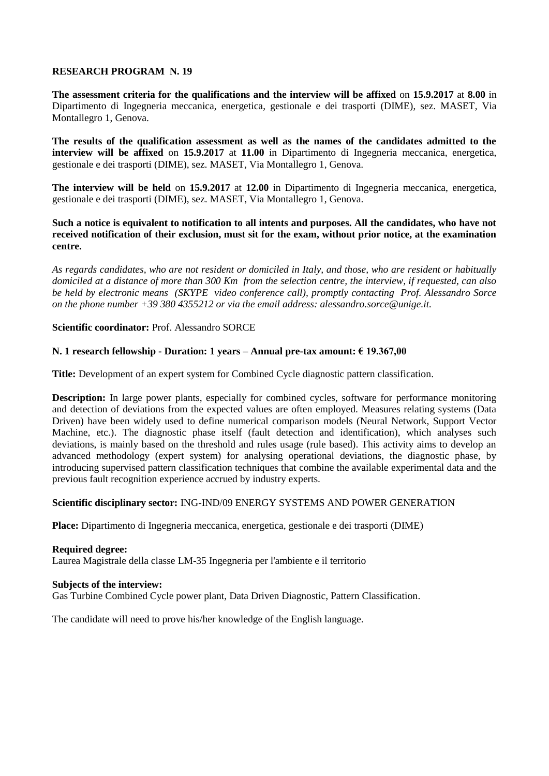**The assessment criteria for the qualifications and the interview will be affixed** on **15.9.2017** at **8.00** in Dipartimento di Ingegneria meccanica, energetica, gestionale e dei trasporti (DIME), sez. MASET, Via Montallegro 1, Genova.

**The results of the qualification assessment as well as the names of the candidates admitted to the interview will be affixed** on **15.9.2017** at **11.00** in Dipartimento di Ingegneria meccanica, energetica, gestionale e dei trasporti (DIME), sez. MASET, Via Montallegro 1, Genova.

**The interview will be held** on **15.9.2017** at **12.00** in Dipartimento di Ingegneria meccanica, energetica, gestionale e dei trasporti (DIME), sez. MASET, Via Montallegro 1, Genova.

**Such a notice is equivalent to notification to all intents and purposes. All the candidates, who have not received notification of their exclusion, must sit for the exam, without prior notice, at the examination centre.**

*As regards candidates, who are not resident or domiciled in Italy, and those, who are resident or habitually domiciled at a distance of more than 300 Km from the selection centre, the interview, if requested, can also be held by electronic means (SKYPE video conference call), promptly contacting Prof. Alessandro Sorce on the phone number +39 380 4355212 or via the email address: alessandro.sorce@unige.it.*

**Scientific coordinator:** Prof. Alessandro SORCE

# **N. 1 research fellowship - Duration: 1 years – Annual pre-tax amount: € 19.367,00**

**Title:** Development of an expert system for Combined Cycle diagnostic pattern classification.

**Description:** In large power plants, especially for combined cycles, software for performance monitoring and detection of deviations from the expected values are often employed. Measures relating systems (Data Driven) have been widely used to define numerical comparison models (Neural Network, Support Vector Machine, etc.). The diagnostic phase itself (fault detection and identification), which analyses such deviations, is mainly based on the threshold and rules usage (rule based). This activity aims to develop an advanced methodology (expert system) for analysing operational deviations, the diagnostic phase, by introducing supervised pattern classification techniques that combine the available experimental data and the previous fault recognition experience accrued by industry experts.

# **Scientific disciplinary sector:** ING-IND/09 ENERGY SYSTEMS AND POWER GENERATION

**Place:** Dipartimento di Ingegneria meccanica, energetica, gestionale e dei trasporti (DIME)

**Required degree:** Laurea Magistrale della classe LM-35 Ingegneria per l'ambiente e il territorio

### **Subjects of the interview:**

Gas Turbine Combined Cycle power plant, Data Driven Diagnostic, Pattern Classification.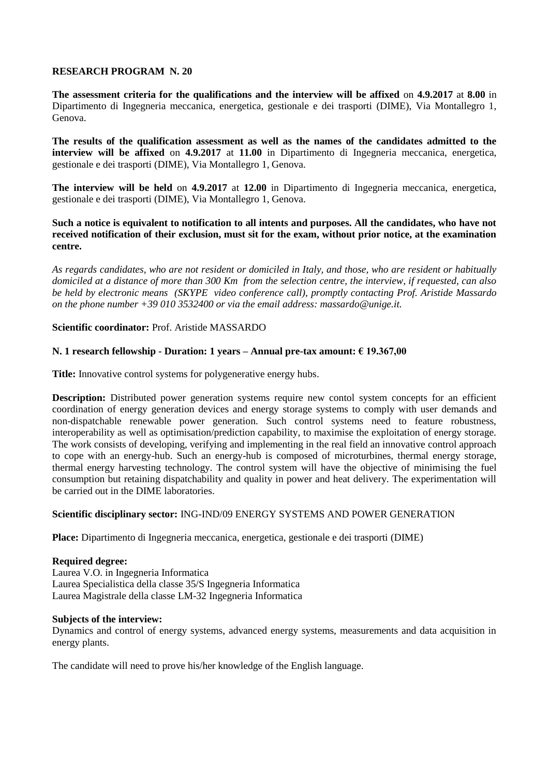**The assessment criteria for the qualifications and the interview will be affixed** on **4.9.2017** at **8.00** in Dipartimento di Ingegneria meccanica, energetica, gestionale e dei trasporti (DIME), Via Montallegro 1, Genova.

**The results of the qualification assessment as well as the names of the candidates admitted to the interview will be affixed** on **4.9.2017** at **11.00** in Dipartimento di Ingegneria meccanica, energetica, gestionale e dei trasporti (DIME), Via Montallegro 1, Genova.

**The interview will be held** on **4.9.2017** at **12.00** in Dipartimento di Ingegneria meccanica, energetica, gestionale e dei trasporti (DIME), Via Montallegro 1, Genova.

**Such a notice is equivalent to notification to all intents and purposes. All the candidates, who have not received notification of their exclusion, must sit for the exam, without prior notice, at the examination centre.**

*As regards candidates, who are not resident or domiciled in Italy, and those, who are resident or habitually domiciled at a distance of more than 300 Km from the selection centre, the interview, if requested, can also be held by electronic means (SKYPE video conference call), promptly contacting Prof. Aristide Massardo on the phone number +39 010 3532400 or via the email address: massardo@unige.it.*

## **Scientific coordinator:** Prof. Aristide MASSARDO

## **N. 1 research fellowship - Duration: 1 years – Annual pre-tax amount: € 19.367,00**

**Title:** Innovative control systems for polygenerative energy hubs.

**Description:** Distributed power generation systems require new contol system concepts for an efficient coordination of energy generation devices and energy storage systems to comply with user demands and non-dispatchable renewable power generation. Such control systems need to feature robustness, interoperability as well as optimisation/prediction capability, to maximise the exploitation of energy storage. The work consists of developing, verifying and implementing in the real field an innovative control approach to cope with an energy-hub. Such an energy-hub is composed of microturbines, thermal energy storage, thermal energy harvesting technology. The control system will have the objective of minimising the fuel consumption but retaining dispatchability and quality in power and heat delivery. The experimentation will be carried out in the DIME laboratories.

## **Scientific disciplinary sector:** ING-IND/09 ENERGY SYSTEMS AND POWER GENERATION

**Place:** Dipartimento di Ingegneria meccanica, energetica, gestionale e dei trasporti (DIME)

### **Required degree:**

Laurea V.O. in Ingegneria Informatica Laurea Specialistica della classe 35/S Ingegneria Informatica Laurea Magistrale della classe LM-32 Ingegneria Informatica

### **Subjects of the interview:**

Dynamics and control of energy systems, advanced energy systems, measurements and data acquisition in energy plants.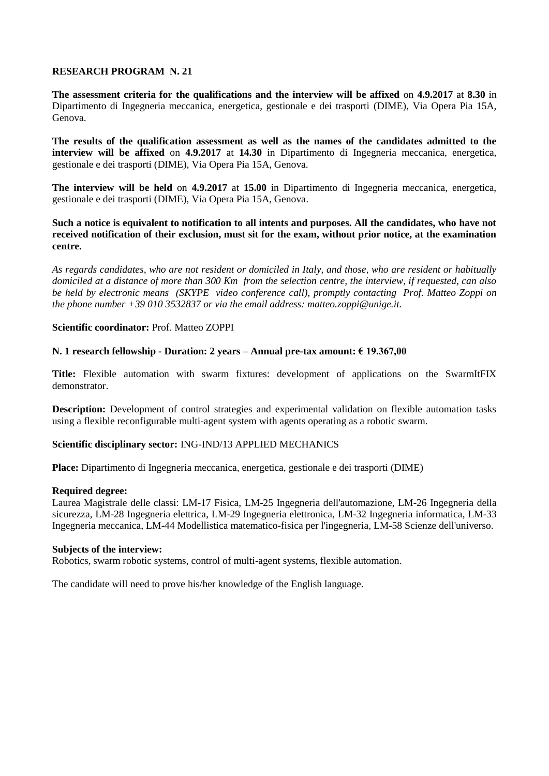**The assessment criteria for the qualifications and the interview will be affixed** on **4.9.2017** at **8.30** in Dipartimento di Ingegneria meccanica, energetica, gestionale e dei trasporti (DIME), Via Opera Pia 15A, Genova.

**The results of the qualification assessment as well as the names of the candidates admitted to the interview will be affixed** on **4.9.2017** at **14.30** in Dipartimento di Ingegneria meccanica, energetica, gestionale e dei trasporti (DIME), Via Opera Pia 15A, Genova.

**The interview will be held** on **4.9.2017** at **15.00** in Dipartimento di Ingegneria meccanica, energetica, gestionale e dei trasporti (DIME), Via Opera Pia 15A, Genova.

**Such a notice is equivalent to notification to all intents and purposes. All the candidates, who have not received notification of their exclusion, must sit for the exam, without prior notice, at the examination centre.**

*As regards candidates, who are not resident or domiciled in Italy, and those, who are resident or habitually domiciled at a distance of more than 300 Km from the selection centre, the interview, if requested, can also be held by electronic means (SKYPE video conference call), promptly contacting Prof. Matteo Zoppi on the phone number +39 010 3532837 or via the email address: matteo.zoppi@unige.it.*

### **Scientific coordinator:** Prof. Matteo ZOPPI

## **N. 1 research fellowship - Duration: 2 years – Annual pre-tax amount: € 19.367,00**

**Title:** Flexible automation with swarm fixtures: development of applications on the SwarmItFIX demonstrator.

**Description:** Development of control strategies and experimental validation on flexible automation tasks using a flexible reconfigurable multi-agent system with agents operating as a robotic swarm.

### **Scientific disciplinary sector:** ING-IND/13 APPLIED MECHANICS

**Place:** Dipartimento di Ingegneria meccanica, energetica, gestionale e dei trasporti (DIME)

### **Required degree:**

Laurea Magistrale delle classi: LM-17 Fisica, LM-25 Ingegneria dell'automazione, LM-26 Ingegneria della sicurezza, LM-28 Ingegneria elettrica, LM-29 Ingegneria elettronica, LM-32 Ingegneria informatica, LM-33 Ingegneria meccanica, LM-44 Modellistica matematico-fisica per l'ingegneria, LM-58 Scienze dell'universo.

## **Subjects of the interview:**

Robotics, swarm robotic systems, control of multi-agent systems, flexible automation.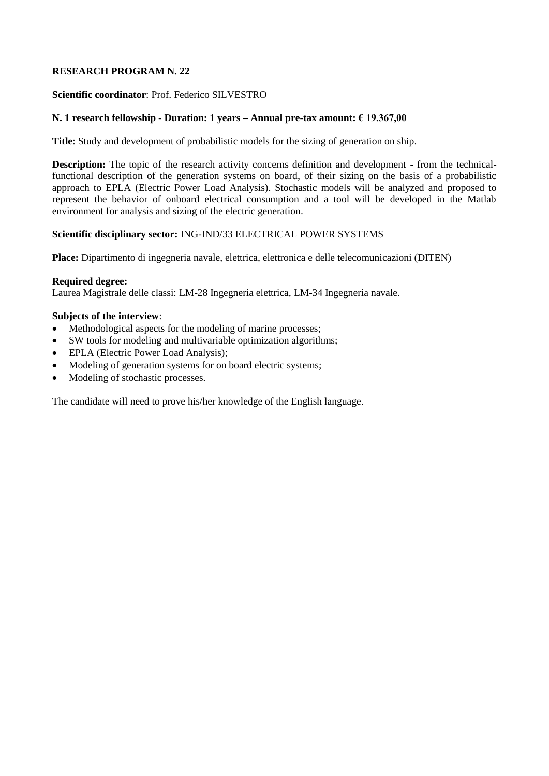## **Scientific coordinator**: Prof. Federico SILVESTRO

# **N. 1 research fellowship - Duration: 1 years – Annual pre-tax amount: € 19.367,00**

**Title**: Study and development of probabilistic models for the sizing of generation on ship.

**Description:** The topic of the research activity concerns definition and development - from the technicalfunctional description of the generation systems on board, of their sizing on the basis of a probabilistic approach to EPLA (Electric Power Load Analysis). Stochastic models will be analyzed and proposed to represent the behavior of onboard electrical consumption and a tool will be developed in the Matlab environment for analysis and sizing of the electric generation.

## **Scientific disciplinary sector:** ING-IND/33 ELECTRICAL POWER SYSTEMS

**Place:** Dipartimento di ingegneria navale, elettrica, elettronica e delle telecomunicazioni (DITEN)

## **Required degree:**

Laurea Magistrale delle classi: LM-28 Ingegneria elettrica, LM-34 Ingegneria navale.

# **Subjects of the interview**:

- Methodological aspects for the modeling of marine processes;
- SW tools for modeling and multivariable optimization algorithms;
- EPLA (Electric Power Load Analysis);
- Modeling of generation systems for on board electric systems;
- Modeling of stochastic processes.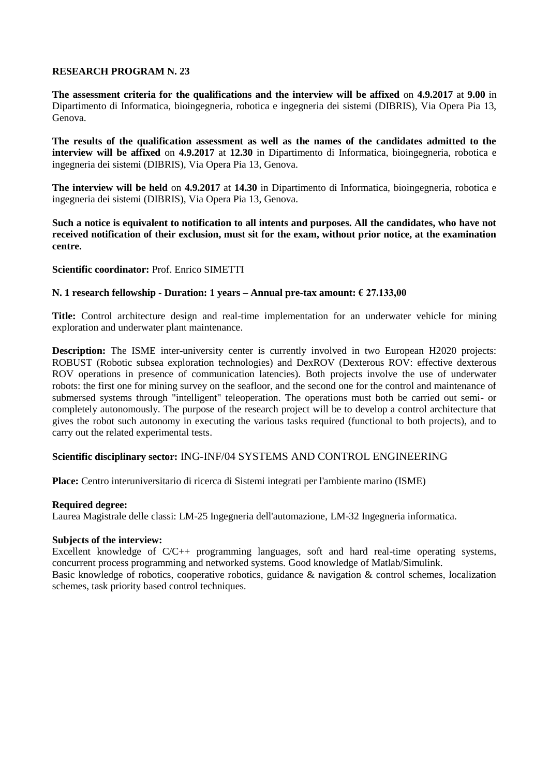**The assessment criteria for the qualifications and the interview will be affixed** on **4.9.2017** at **9.00** in Dipartimento di Informatica, bioingegneria, robotica e ingegneria dei sistemi (DIBRIS), Via Opera Pia 13, Genova.

**The results of the qualification assessment as well as the names of the candidates admitted to the interview will be affixed** on **4.9.2017** at **12.30** in Dipartimento di Informatica, bioingegneria, robotica e ingegneria dei sistemi (DIBRIS), Via Opera Pia 13, Genova.

**The interview will be held** on **4.9.2017** at **14.30** in Dipartimento di Informatica, bioingegneria, robotica e ingegneria dei sistemi (DIBRIS), Via Opera Pia 13, Genova.

**Such a notice is equivalent to notification to all intents and purposes. All the candidates, who have not received notification of their exclusion, must sit for the exam, without prior notice, at the examination centre.**

## **Scientific coordinator:** Prof. Enrico SIMETTI

## **N. 1 research fellowship - Duration: 1 years – Annual pre-tax amount: € 27.133,00**

**Title:** Control architecture design and real-time implementation for an underwater vehicle for mining exploration and underwater plant maintenance.

**Description:** The ISME inter-university center is currently involved in two European H2020 projects: ROBUST (Robotic subsea exploration technologies) and DexROV (Dexterous ROV: effective dexterous ROV operations in presence of communication latencies). Both projects involve the use of underwater robots: the first one for mining survey on the seafloor, and the second one for the control and maintenance of submersed systems through "intelligent" teleoperation. The operations must both be carried out semi- or completely autonomously. The purpose of the research project will be to develop a control architecture that gives the robot such autonomy in executing the various tasks required (functional to both projects), and to carry out the related experimental tests.

## **Scientific disciplinary sector:** ING-INF/04 SYSTEMS AND CONTROL ENGINEERING

**Place:** Centro interuniversitario di ricerca di Sistemi integrati per l'ambiente marino (ISME)

### **Required degree:**

Laurea Magistrale delle classi: LM-25 Ingegneria dell'automazione, LM-32 Ingegneria informatica.

### **Subjects of the interview:**

Excellent knowledge of C/C++ programming languages, soft and hard real-time operating systems, concurrent process programming and networked systems. Good knowledge of Matlab/Simulink. Basic knowledge of robotics, cooperative robotics, guidance & navigation & control schemes, localization schemes, task priority based control techniques.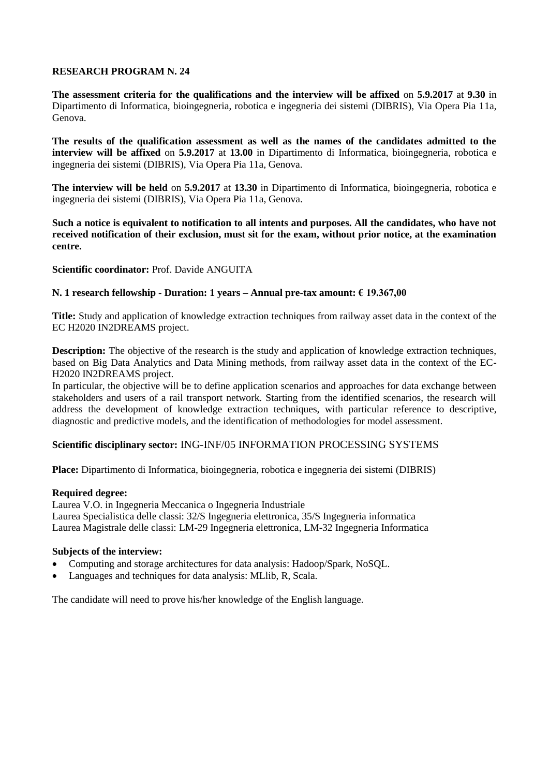**The assessment criteria for the qualifications and the interview will be affixed** on **5.9.2017** at **9.30** in Dipartimento di Informatica, bioingegneria, robotica e ingegneria dei sistemi (DIBRIS), Via Opera Pia 11a, Genova.

**The results of the qualification assessment as well as the names of the candidates admitted to the interview will be affixed** on **5.9.2017** at **13.00** in Dipartimento di Informatica, bioingegneria, robotica e ingegneria dei sistemi (DIBRIS), Via Opera Pia 11a, Genova.

**The interview will be held** on **5.9.2017** at **13.30** in Dipartimento di Informatica, bioingegneria, robotica e ingegneria dei sistemi (DIBRIS), Via Opera Pia 11a, Genova.

**Such a notice is equivalent to notification to all intents and purposes. All the candidates, who have not received notification of their exclusion, must sit for the exam, without prior notice, at the examination centre.**

**Scientific coordinator:** Prof. Davide ANGUITA

# **N. 1 research fellowship - Duration: 1 years – Annual pre-tax amount: € 19.367,00**

**Title:** Study and application of knowledge extraction techniques from railway asset data in the context of the EC H2020 IN2DREAMS project.

**Description:** The objective of the research is the study and application of knowledge extraction techniques, based on Big Data Analytics and Data Mining methods, from railway asset data in the context of the EC-H2020 IN2DREAMS project.

In particular, the objective will be to define application scenarios and approaches for data exchange between stakeholders and users of a rail transport network. Starting from the identified scenarios, the research will address the development of knowledge extraction techniques, with particular reference to descriptive, diagnostic and predictive models, and the identification of methodologies for model assessment.

# **Scientific disciplinary sector:** ING-INF/05 INFORMATION PROCESSING SYSTEMS

**Place:** Dipartimento di Informatica, bioingegneria, robotica e ingegneria dei sistemi (DIBRIS)

# **Required degree:**

Laurea V.O. in Ingegneria Meccanica o Ingegneria Industriale Laurea Specialistica delle classi: 32/S Ingegneria elettronica, 35/S Ingegneria informatica Laurea Magistrale delle classi: LM-29 Ingegneria elettronica, LM-32 Ingegneria Informatica

# **Subjects of the interview:**

- Computing and storage architectures for data analysis: Hadoop/Spark, NoSQL.
- Languages and techniques for data analysis: MLlib, R, Scala.